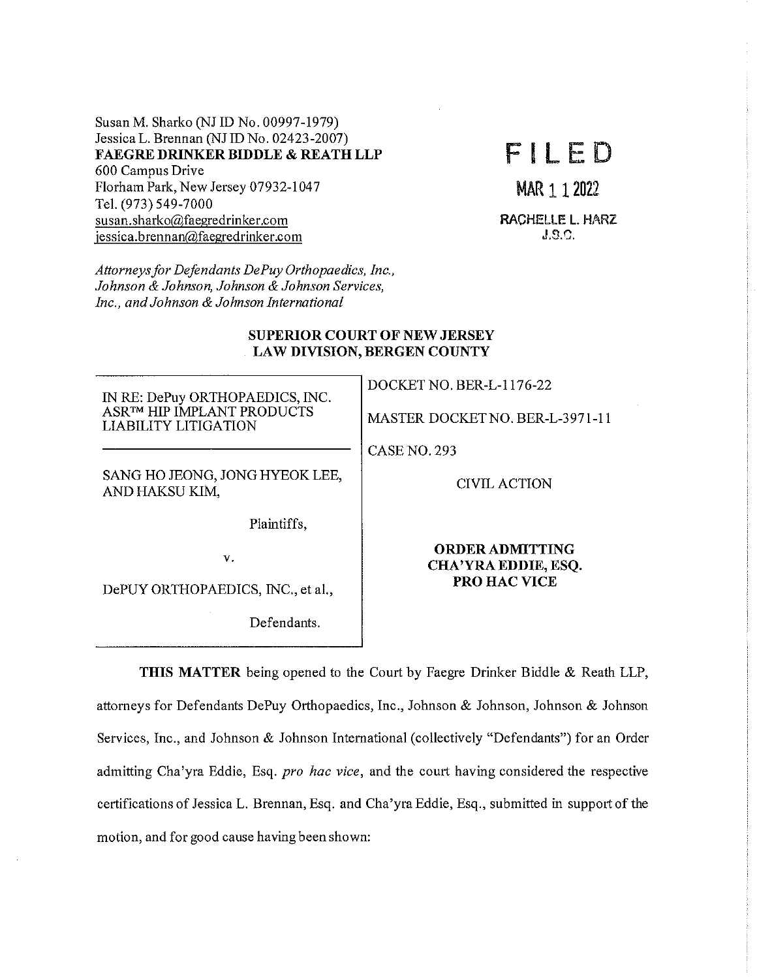Susan M. Sharko (NJ ID No. 00997-1979) Jessica L. Brennan (NJ ID No. 02423-2007) **FAEGRE DRINKER BIDDLE & REATH LLP**  600 Campus Drive Florham Park, New Jersey 07932-1047 Tel. (973) 549-7000 susan.sharko@faegredrinker.com jessica.brennan@faegredrinker.com

FILED

MAR 1 1 2022

RACHELLE **L.** HARZ **J.S.0.** 

*Attorneysfor Defendants DePuyOrthopaedics, Inc., Johnson* & *Johnson, Johnson* & *Johnson Services, Inc., and Johnson & Johnson International* 

## **SUPERIOR COURT OF NEW JERSEY LAW DIVISION, BERGEN COUNTY**

IN RE: DePuy ORTHOPAEDICS, INC. ASR™ HIP IMPLANT PRODUCTS LIABILITY LITIGATION

SANG HO JEONG, JONG HYEOK LEE, AND HAKSU KIM,

Plaintiffs,

v.

DePUY ORTHOPAEDICS, INC., et al.,

Defendants.

DOCKET NO. BER-L-1176-22

MASTER DOCKETNO. BER-L-3971-11

CASENO.293

CIVIL ACTION

**ORDER ADMITTING CHA'YRA EDDIE, ESQ. PROHACVICE** 

**THIS MATTER** being opened to the Court by Faegre Drinker Biddle & Reath LLP, attorneys for Defendants DePuy Orthopaedics, Inc., Johnson & Johnson, Johnson & Johnson Services, Inc., and Johnson & Johnson International ( collectively "Defendants") for an Order admitting Cha'yra Eddie, Esq. *pro hac vice,* and the court having considered the respective certifications of Jessica L. Brennan, Esq. and Cha'yra Eddie, Esq., submitted in support of the motion, and for good cause having been shown: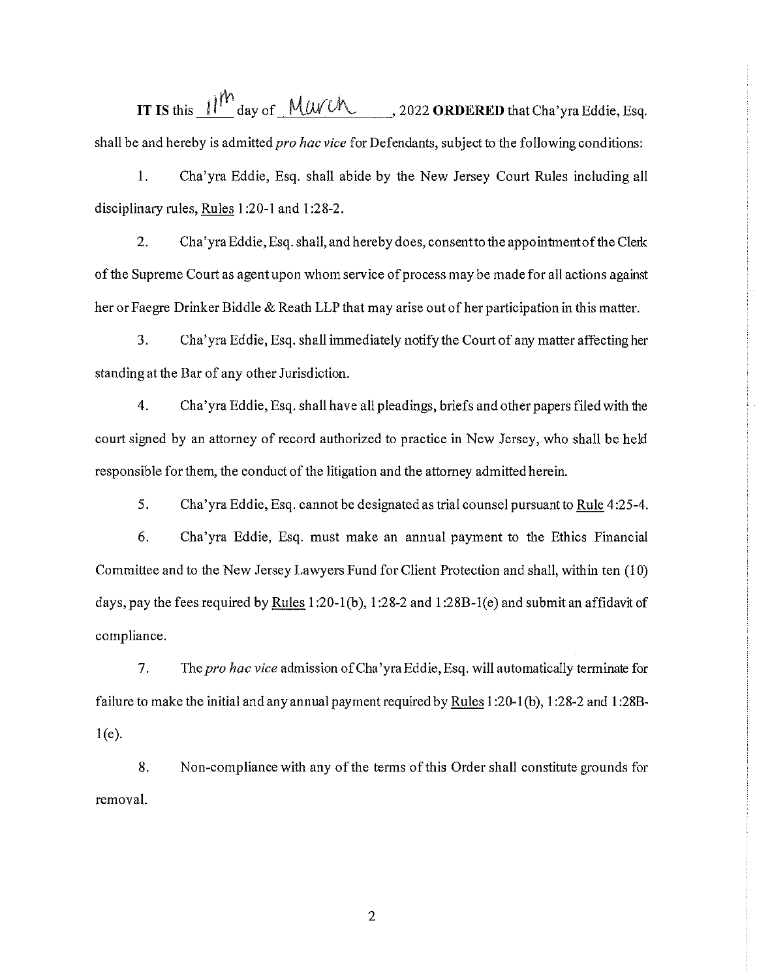**IT IS** this  $11^{th}$  day of MU/U , 2022 **ORDERED** that Cha'yra Eddie, Esq. shall be and hereby is admitted *pro hac vice* for Defendants, subject to the following conditions:

1. Cha'yra Eddie, Esq. shall abide by the New Jersey Court Rules including all disciplinary rules, Rules 1 :20-1 and 1 :28-2.

2. Cha'yra Eddie, Esq. shall, and hereby does, consent to the appointment of the Clerk of the Supreme Court as agent upon whom service of process may be made for all actions against her or Faegre Drinker Biddle & Reath LLP that may arise out of her participation in this matter.

3. Cha'yra Eddie, Esq. shall immediately notify the Court of any matter affecting her standing at the Bar of any other Jurisdiction.

4. Cha'yra Eddie, Esq. shall have all pleadings, briefs and other papers filed with the court signed by an attorney of record authorized to practice in New Jersey, who shall be held responsible for them, the conduct of the litigation and the attorney admitted herein.

5. Cha'yra Eddie, Esq. cannot be designated as trial counsel pursuant to Rule 4:25-4.

6. Cha'yra Eddie, Esq. must make an annual payment to the Ethics Financial Committee and to the New Jersey Lawyers Fund for Client Protection and shall, within ten (I 0) days, pay the fees required by Rules 1 :20-l(b), 1 :28-2 and 1 :28B-l(e) and submit an affidavit of compliance.

7. The *pro hac vice* admission of Cha 'yra Eddie, Esq. will automatically terminate for failure to make the initial and any annual payment required by Rules 1 :20-1 (b), 1 :28-2 and 1 :28B- $1(e)$ .

8. Non-compliance with any of the terms of this Order shall constitute grounds for removal.

2